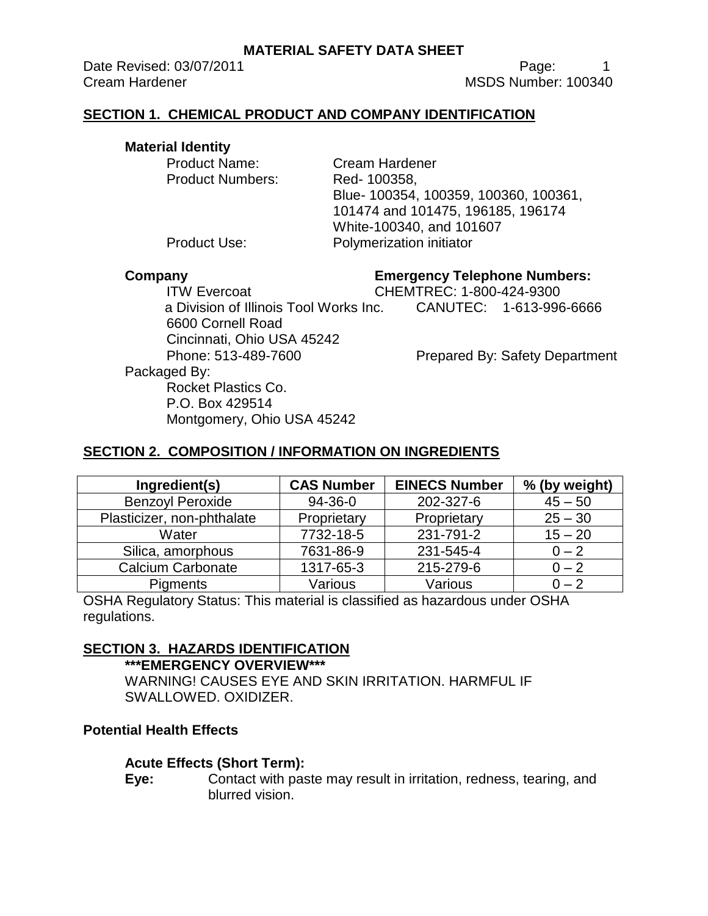Date Revised: 03/07/2011 **Page:** 1 Cream Hardener MSDS Number: 100340

#### **SECTION 1. CHEMICAL PRODUCT AND COMPANY IDENTIFICATION**

#### **Material Identity**

Product Name: Cream Hardener Product Numbers: Red- 100358.

Blue- 100354, 100359, 100360, 100361, 101474 and 101475, 196185, 196174 White-100340, and 101607 Product Use: Polymerization initiator

P.O. Box 429514

#### **Company Emergency Telephone Numbers:**

ITW Evercoat CHEMTREC: 1-800-424-9300 a Division of Illinois Tool Works Inc. CANUTEC: 1-613-996-6666 6600 Cornell Road Cincinnati, Ohio USA 45242 Phone: 513-489-7600 Prepared By: Safety Department Packaged By: Rocket Plastics Co.

#### **SECTION 2. COMPOSITION / INFORMATION ON INGREDIENTS**

Montgomery, Ohio USA 45242

| Ingredient(s)              | <b>CAS Number</b> | <b>EINECS Number</b> | % (by weight) |
|----------------------------|-------------------|----------------------|---------------|
| <b>Benzoyl Peroxide</b>    | $94-36-0$         | 202-327-6            | $45 - 50$     |
| Plasticizer, non-phthalate | Proprietary       | Proprietary          | $25 - 30$     |
| Water                      | 7732-18-5         | 231-791-2            | $15 - 20$     |
| Silica, amorphous          | 7631-86-9         | 231-545-4            | $0 - 2$       |
| <b>Calcium Carbonate</b>   | 1317-65-3         | 215-279-6            | $0 - 2$       |
| <b>Pigments</b>            | Various           | Various              | $0 - 2$       |

OSHA Regulatory Status: This material is classified as hazardous under OSHA regulations.

#### **SECTION 3. HAZARDS IDENTIFICATION**

**\*\*\*EMERGENCY OVERVIEW\*\*\***

WARNING! CAUSES EYE AND SKIN IRRITATION. HARMFUL IF SWALLOWED. OXIDIZER.

#### **Potential Health Effects**

#### **Acute Effects (Short Term):**

**Eye:** Contact with paste may result in irritation, redness, tearing, and blurred vision.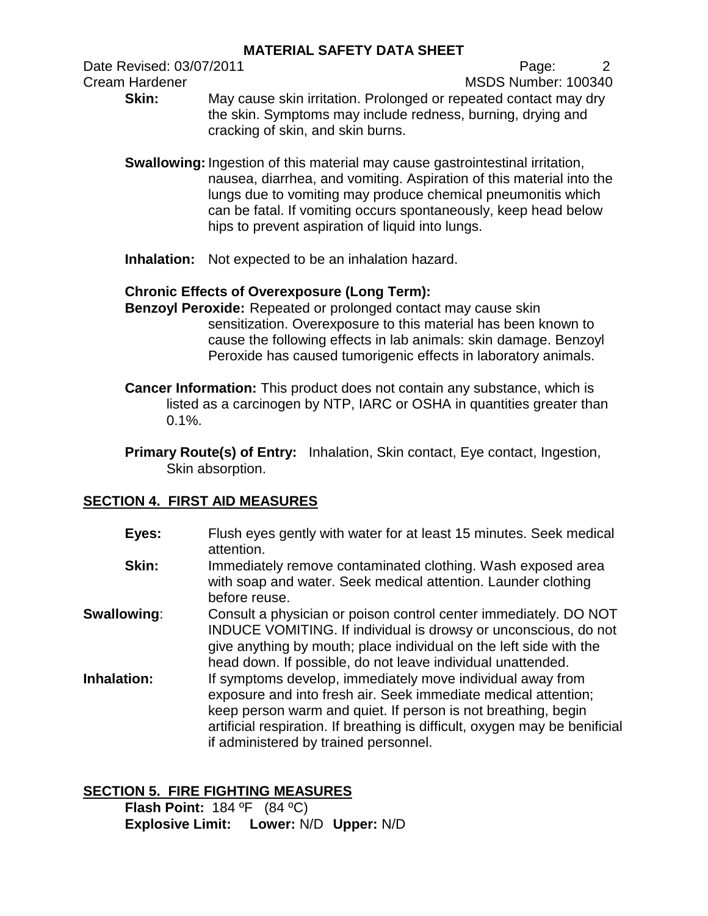Date Revised: 03/07/2011 **Page:** 2

Cream Hardener MSDS Number: 100340

- **Skin:** May cause skin irritation. Prolonged or repeated contact may dry the skin. Symptoms may include redness, burning, drying and cracking of skin, and skin burns.
- **Swallowing:** Ingestion of this material may cause gastrointestinal irritation, nausea, diarrhea, and vomiting. Aspiration of this material into the lungs due to vomiting may produce chemical pneumonitis which can be fatal. If vomiting occurs spontaneously, keep head below hips to prevent aspiration of liquid into lungs.
- **Inhalation:** Not expected to be an inhalation hazard.

# **Chronic Effects of Overexposure (Long Term):**

- **Benzoyl Peroxide:** Repeated or prolonged contact may cause skin sensitization. Overexposure to this material has been known to cause the following effects in lab animals: skin damage. Benzoyl Peroxide has caused tumorigenic effects in laboratory animals.
- **Cancer Information:** This product does not contain any substance, which is listed as a carcinogen by NTP, IARC or OSHA in quantities greater than 0.1%.
- **Primary Route(s) of Entry:** Inhalation, Skin contact, Eye contact, Ingestion, Skin absorption.

# **SECTION 4. FIRST AID MEASURES**

**Eyes:** Flush eyes gently with water for at least 15 minutes. Seek medical attention. **Skin:** Immediately remove contaminated clothing. Wash exposed area with soap and water. Seek medical attention. Launder clothing before reuse. **Swallowing:** Consult a physician or poison control center immediately. DO NOT INDUCE VOMITING. If individual is drowsy or unconscious, do not give anything by mouth; place individual on the left side with the head down. If possible, do not leave individual unattended. **Inhalation:** If symptoms develop, immediately move individual away from exposure and into fresh air. Seek immediate medical attention; keep person warm and quiet. If person is not breathing, begin artificial respiration. If breathing is difficult, oxygen may be benificial if administered by trained personnel.

# **SECTION 5. FIRE FIGHTING MEASURES**

**Flash Point:** 184 ºF (84 ºC) **Explosive Limit: Lower:** N/D **Upper:** N/D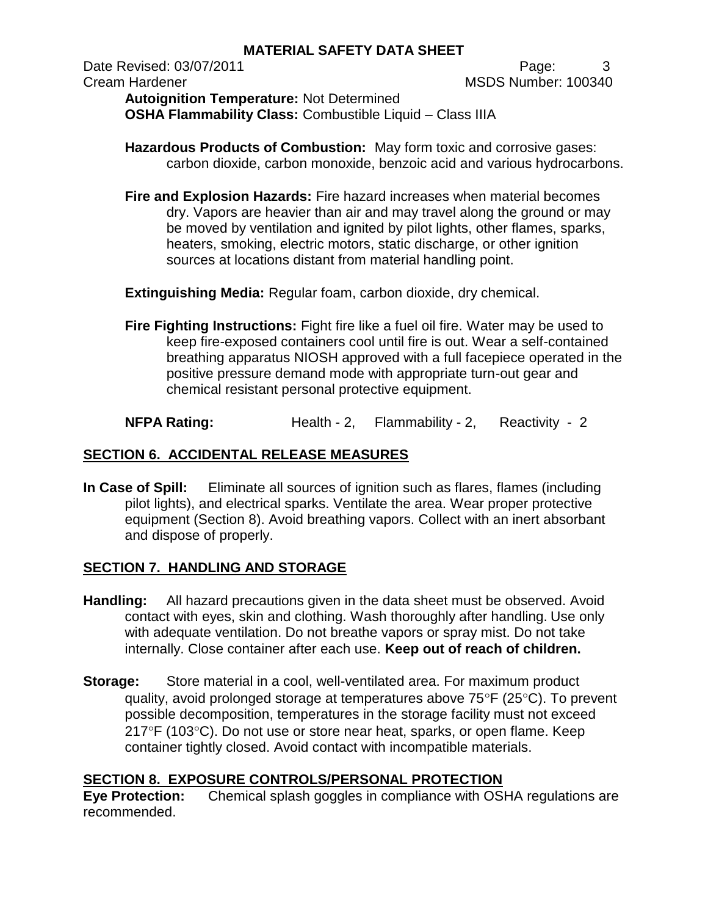Date Revised: 03/07/2011 **Page:** 3 Cream Hardener Mathematic Cream Hardener MSDS Number: 100340

**Autoignition Temperature:** Not Determined **OSHA Flammability Class:** Combustible Liquid – Class IIIA

**Hazardous Products of Combustion:** May form toxic and corrosive gases: carbon dioxide, carbon monoxide, benzoic acid and various hydrocarbons.

**Fire and Explosion Hazards:** Fire hazard increases when material becomes dry. Vapors are heavier than air and may travel along the ground or may be moved by ventilation and ignited by pilot lights, other flames, sparks, heaters, smoking, electric motors, static discharge, or other ignition sources at locations distant from material handling point.

**Extinguishing Media:** Regular foam, carbon dioxide, dry chemical.

**Fire Fighting Instructions:** Fight fire like a fuel oil fire. Water may be used to keep fire-exposed containers cool until fire is out. Wear a self-contained breathing apparatus NIOSH approved with a full facepiece operated in the positive pressure demand mode with appropriate turn-out gear and chemical resistant personal protective equipment.

**NFPA Rating:** Health - 2, Flammability - 2, Reactivity - 2

## **SECTION 6. ACCIDENTAL RELEASE MEASURES**

**In Case of Spill:** Eliminate all sources of ignition such as flares, flames (including pilot lights), and electrical sparks. Ventilate the area. Wear proper protective equipment (Section 8). Avoid breathing vapors. Collect with an inert absorbant and dispose of properly.

## **SECTION 7. HANDLING AND STORAGE**

- **Handling:** All hazard precautions given in the data sheet must be observed. Avoid contact with eyes, skin and clothing. Wash thoroughly after handling. Use only with adequate ventilation. Do not breathe vapors or spray mist. Do not take internally. Close container after each use. **Keep out of reach of children.**
- **Storage:** Store material in a cool, well-ventilated area. For maximum product quality, avoid prolonged storage at temperatures above 75°F (25°C). To prevent possible decomposition, temperatures in the storage facility must not exceed  $217^{\circ}$ F (103 $^{\circ}$ C). Do not use or store near heat, sparks, or open flame. Keep container tightly closed. Avoid contact with incompatible materials.

## **SECTION 8. EXPOSURE CONTROLS/PERSONAL PROTECTION**

**Eye Protection:** Chemical splash goggles in compliance with OSHA regulations are recommended.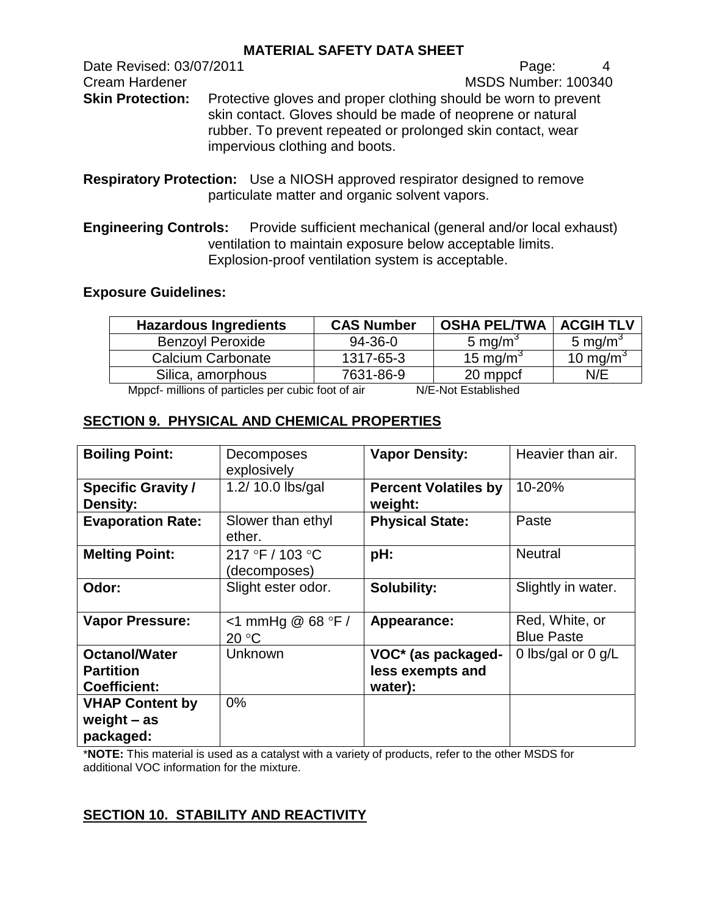Date Revised: 03/07/2011 **Page:** 4 Cream Hardener MSDS Number: 100340 **Skin Protection:** Protective gloves and proper clothing should be worn to prevent skin contact. Gloves should be made of neoprene or natural rubber. To prevent repeated or prolonged skin contact, wear impervious clothing and boots.

**Respiratory Protection:** Use a NIOSH approved respirator designed to remove particulate matter and organic solvent vapors.

**Engineering Controls:** Provide sufficient mechanical (general and/or local exhaust) ventilation to maintain exposure below acceptable limits. Explosion-proof ventilation system is acceptable.

## **Exposure Guidelines:**

| <b>Hazardous Ingredients</b>                                             | <b>CAS Number</b> | <b>OSHA PEL/TWA</b>  | <b>ACGIH TLV</b>     |  |
|--------------------------------------------------------------------------|-------------------|----------------------|----------------------|--|
| <b>Benzoyl Peroxide</b>                                                  | 94-36-0           | 5 mg/m <sup>3</sup>  | 5 mg/m <sup>3</sup>  |  |
| Calcium Carbonate                                                        | 1317-65-3         | 15 mg/m <sup>3</sup> | 10 mg/m <sup>3</sup> |  |
| Silica, amorphous                                                        | 7631-86-9         | 20 mppcf             | N/E                  |  |
| Mange millions of particles per subjected of air<br>NI/E Not Ectablished |                   |                      |                      |  |

Mppct- millions of particles per cubic foot of air N/E-Not Established

## **SECTION 9. PHYSICAL AND CHEMICAL PROPERTIES**

| <b>Boiling Point:</b>                                           | Decomposes<br>explosively       | <b>Vapor Density:</b>                             | Heavier than air.                   |
|-----------------------------------------------------------------|---------------------------------|---------------------------------------------------|-------------------------------------|
| <b>Specific Gravity /</b><br>Density:                           | 1.2/10.0 lbs/gal                | <b>Percent Volatiles by</b><br>weight:            | 10-20%                              |
| <b>Evaporation Rate:</b>                                        | Slower than ethyl<br>ether.     | <b>Physical State:</b>                            | Paste                               |
| <b>Melting Point:</b>                                           | 217 °F / 103 °C<br>(decomposes) | pH:                                               | <b>Neutral</b>                      |
| Odor:                                                           | Slight ester odor.              | <b>Solubility:</b>                                | Slightly in water.                  |
| <b>Vapor Pressure:</b>                                          | $<$ 1 mmHg @ 68 °F /<br>20 °C   | Appearance:                                       | Red, White, or<br><b>Blue Paste</b> |
| <b>Octanol/Water</b><br><b>Partition</b><br><b>Coefficient:</b> | Unknown                         | VOC* (as packaged-<br>less exempts and<br>water): | 0 lbs/gal or 0 g/L                  |
| <b>VHAP Content by</b><br>weight $-$ as<br>packaged:            | $0\%$                           |                                                   |                                     |

\***NOTE:** This material is used as a catalyst with a variety of products, refer to the other MSDS for additional VOC information for the mixture.

## **SECTION 10. STABILITY AND REACTIVITY**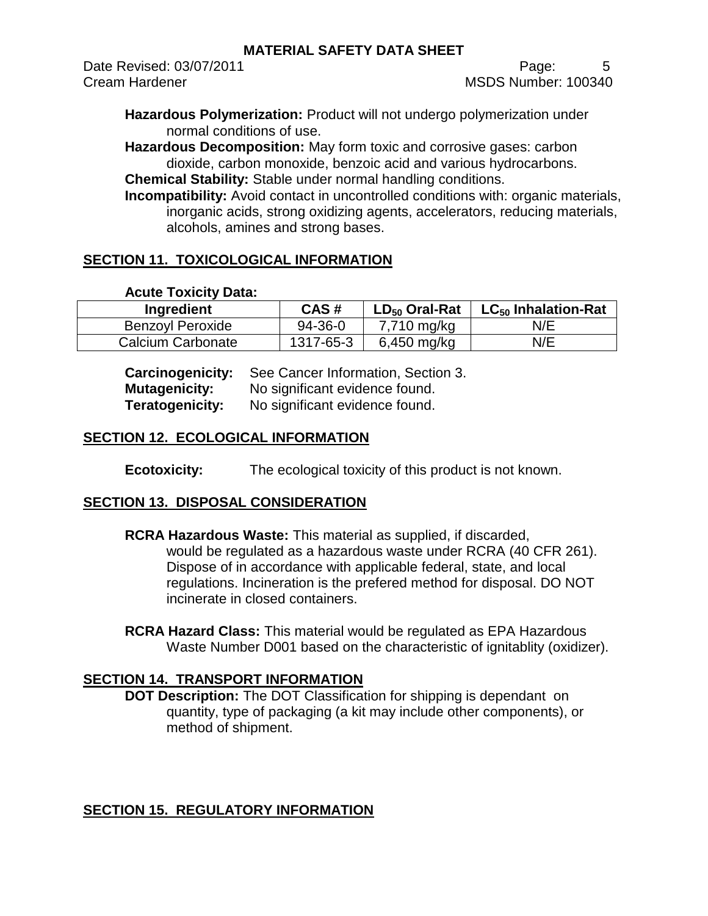Date Revised: 03/07/2011 **Page:** 5 Cream Hardener MSDS Number: 100340

**Hazardous Polymerization:** Product will not undergo polymerization under normal conditions of use.

**Hazardous Decomposition:** May form toxic and corrosive gases: carbon dioxide, carbon monoxide, benzoic acid and various hydrocarbons. **Chemical Stability:** Stable under normal handling conditions.

**Incompatibility:** Avoid contact in uncontrolled conditions with: organic materials, inorganic acids, strong oxidizing agents, accelerators, reducing materials, alcohols, amines and strong bases.

# **SECTION 11. TOXICOLOGICAL INFORMATION**

#### **Acute Toxicity Data:**

| Ingredient              | CAS#          | $LD_{50}$ Oral-Rat | $LC_{50}$ Inhalation-Rat |
|-------------------------|---------------|--------------------|--------------------------|
| <b>Benzoyl Peroxide</b> | $94 - 36 - 0$ | 7,710 mg/kg        | N/E                      |
| Calcium Carbonate       | 1317-65-3     | 6,450 mg/kg        | N/E                      |

**Carcinogenicity:** See Cancer Information, Section 3. **Mutagenicity:** No significant evidence found. **Teratogenicity:** No significant evidence found.

## **SECTION 12. ECOLOGICAL INFORMATION**

**Ecotoxicity:** The ecological toxicity of this product is not known.

## **SECTION 13. DISPOSAL CONSIDERATION**

**RCRA Hazardous Waste:** This material as supplied, if discarded, would be regulated as a hazardous waste under RCRA (40 CFR 261). Dispose of in accordance with applicable federal, state, and local regulations. Incineration is the prefered method for disposal. DO NOT incinerate in closed containers.

**RCRA Hazard Class:** This material would be regulated as EPA Hazardous Waste Number D001 based on the characteristic of ignitablity (oxidizer).

## **SECTION 14. TRANSPORT INFORMATION**

**DOT Description:** The DOT Classification for shipping is dependant on quantity, type of packaging (a kit may include other components), or method of shipment.

# **SECTION 15. REGULATORY INFORMATION**